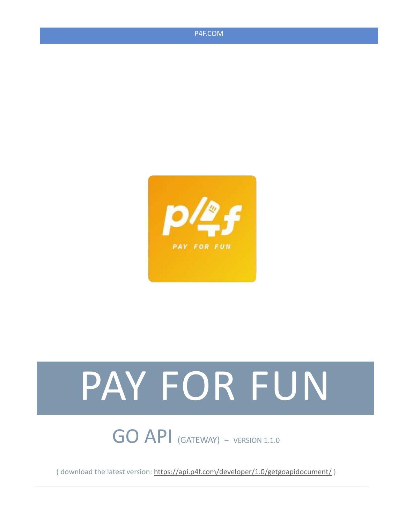



# PAY FOR FUN

GO API (GATEWAY) – VERSION 1.1.0

( download the latest version[: https://api.p4f.com/developer/1.0/getgoapidocument/](https://api.p4f.com/developer/1.0/getgoapidocument) )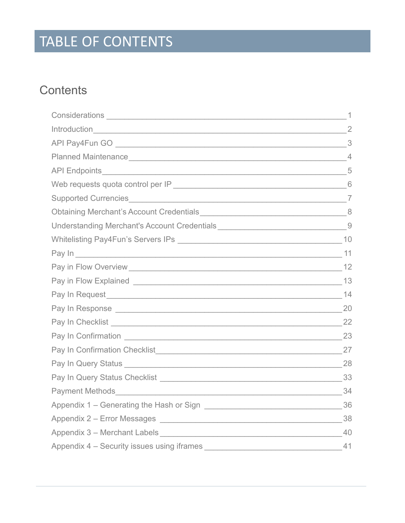# TABLE OF CONTENTS

## **Contents**

| Understanding Merchant's Account Credentials ___________________________________9 |  |
|-----------------------------------------------------------------------------------|--|
|                                                                                   |  |
|                                                                                   |  |
|                                                                                   |  |
|                                                                                   |  |
|                                                                                   |  |
|                                                                                   |  |
|                                                                                   |  |
|                                                                                   |  |
|                                                                                   |  |
|                                                                                   |  |
|                                                                                   |  |
|                                                                                   |  |
|                                                                                   |  |
|                                                                                   |  |
|                                                                                   |  |
|                                                                                   |  |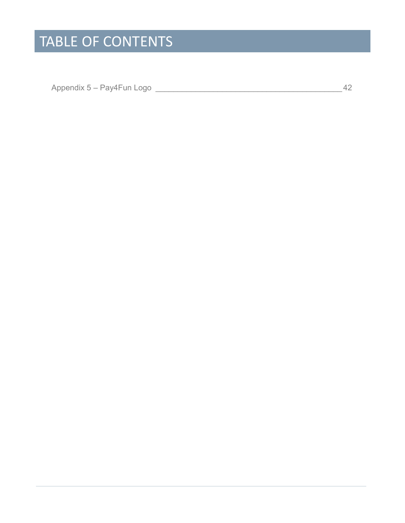## TABLE OF CONTENTS

Appendix 5 – Pay4Fun Logo [\\_\\_\\_\\_\\_\\_\\_\\_\\_\\_\\_\\_\\_\\_\\_\\_\\_\\_\\_\\_\\_\\_\\_\\_\\_\\_\\_\\_\\_\\_\\_\\_\\_\\_\\_\\_\\_\\_\\_\\_\\_\\_42](#page-44-0)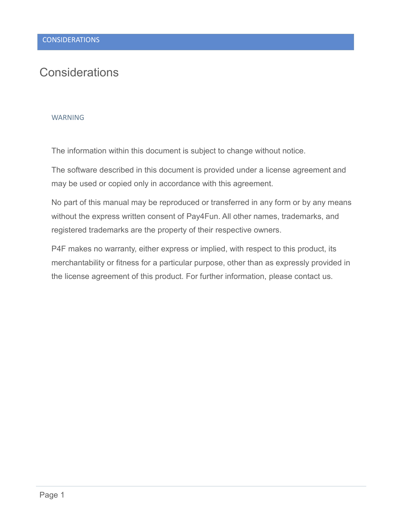## <span id="page-3-0"></span>**Considerations**

#### WARNING

The information within this document is subject to change without notice.

The software described in this document is provided under a license agreement and may be used or copied only in accordance with this agreement.

No part of this manual may be reproduced or transferred in any form or by any means without the express written consent of Pay4Fun. All other names, trademarks, and registered trademarks are the property of their respective owners.

P4F makes no warranty, either express or implied, with respect to this product, its merchantability or fitness for a particular purpose, other than as expressly provided in the license agreement of this product. For further information, please contact us.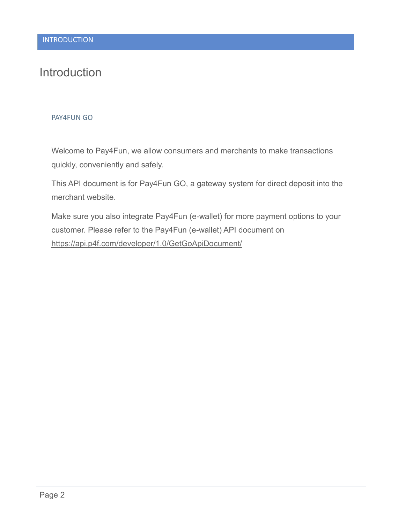## <span id="page-4-0"></span>**Introduction**

#### PAY4FUN GO

Welcome to Pay4Fun, we allow consumers and merchants to make transactions quickly, conveniently and safely.

This API document is for Pay4Fun GO, a gateway system for direct deposit into the merchant website.

Make sure you also integrate Pay4Fun (e-wallet) for more payment options to your customer. Please refer to the Pay4Fun (e-wallet) API document on <https://api.p4f.com/developer/1.0/GetGoApiDocument/>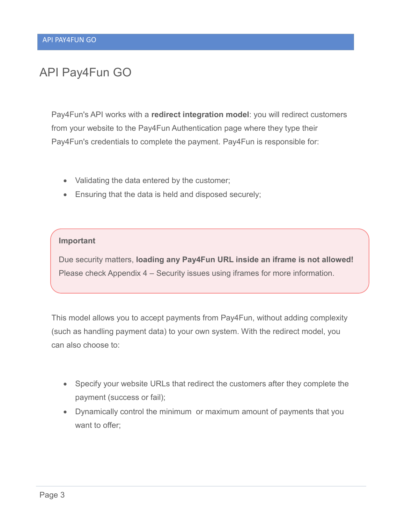## <span id="page-5-0"></span>API Pay4Fun GO

Pay4Fun's API works with a **redirect integration model**: you will redirect customers from your website to the Pay4Fun Authentication page where they type their Pay4Fun's credentials to complete the payment. Pay4Fun is responsible for:

- Validating the data entered by the customer;
- Ensuring that the data is held and disposed securely;

#### **Important**

Due security matters, **loading any Pay4Fun URL inside an iframe is not allowed!** Please check Appendix 4 – [Security issues using iframes](#page-43-0) for more information.

This model allows you to accept payments from Pay4Fun, without adding complexity (such as handling payment data) to your own system. With the redirect model, you can also choose to:

- Specify your website URLs that redirect the customers after they complete the payment (success or fail);
- Dynamically control the minimum or maximum amount of payments that you want to offer;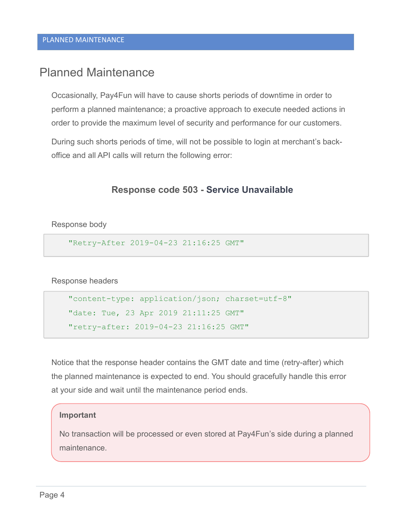## <span id="page-6-0"></span>Planned Maintenance

Occasionally, Pay4Fun will have to cause shorts periods of downtime in order to perform a planned maintenance; a proactive approach to execute needed actions in order to provide the maximum level of security and performance for our customers.

During such shorts periods of time, will not be possible to login at merchant's backoffice and all API calls will return the following error:

#### **Response code 503 - Service Unavailable**

Response body

"Retry-After 2019-04-23 21:16:25 GMT"

Response headers

"content-type: application/json; charset=utf-8" "date: Tue, 23 Apr 2019 21:11:25 GMT" "retry-after: 2019-04-23 21:16:25 GMT"

Notice that the response header contains the GMT date and time (retry-after) which the planned maintenance is expected to end. You should gracefully handle this error at your side and wait until the maintenance period ends.

#### **Important**

No transaction will be processed or even stored at Pay4Fun's side during a planned maintenance.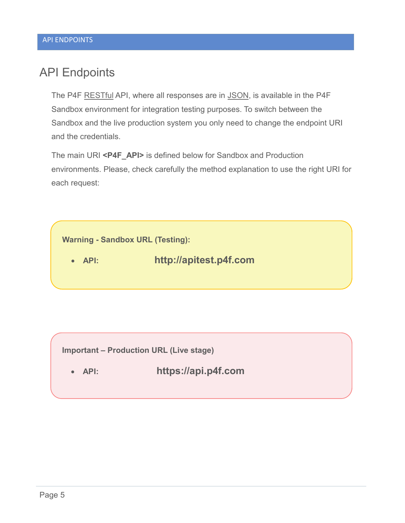## <span id="page-7-0"></span>API Endpoints

The P4F [RESTful](https://en.wikipedia.org/wiki/Representational_state_transfer) API, where all responses are in [JSON,](http://www.json.org/) is available in the P4F Sandbox environment for integration testing purposes. To switch between the Sandbox and the live production system you only need to change the endpoint URI and the credentials.

The main URI **<P4F\_API>** is defined below for Sandbox and Production environments. Please, check carefully the method explanation to use the right URI for each request:



**Important – Production URL (Live stage)**

**API: [https://api.p4f.com](https://api.p4f.com/)**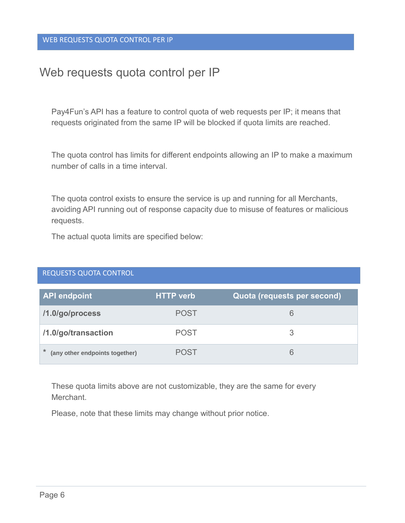## <span id="page-8-0"></span>Web requests quota control per IP

Pay4Fun's API has a feature to control quota of web requests per IP; it means that requests originated from the same IP will be blocked if quota limits are reached.

The quota control has limits for different endpoints allowing an IP to make a maximum number of calls in a time interval.

The quota control exists to ensure the service is up and running for all Merchants, avoiding API running out of response capacity due to misuse of features or malicious requests.

The actual quota limits are specified below:

#### REQUESTS QUOTA CONTROL

| <b>API endpoint</b>                      | <b>HTTP</b> verb | Quota (requests per second) |
|------------------------------------------|------------------|-----------------------------|
| /1.0/go/process                          | <b>POST</b>      | 6                           |
| /1.0/go/transaction                      | <b>POST</b>      |                             |
| $\ast$<br>(any other endpoints together) | <b>POST</b>      | 6                           |

These quota limits above are not customizable, they are the same for every Merchant.

Please, note that these limits may change without prior notice.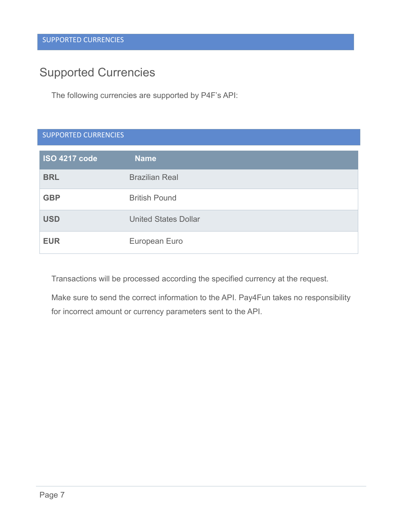## <span id="page-9-0"></span>Supported Currencies

The following currencies are supported by P4F's API:

|  | <b>SUPPORTED CURRENCIES</b> |  |
|--|-----------------------------|--|
|  |                             |  |

| <b>ISO 4217 code</b> | <b>Name</b>                 |
|----------------------|-----------------------------|
| <b>BRL</b>           | <b>Brazilian Real</b>       |
| <b>GBP</b>           | <b>British Pound</b>        |
| <b>USD</b>           | <b>United States Dollar</b> |
| <b>EUR</b>           | European Euro               |

Transactions will be processed according the specified currency at the request.

Make sure to send the correct information to the API. Pay4Fun takes no responsibility for incorrect amount or currency parameters sent to the API.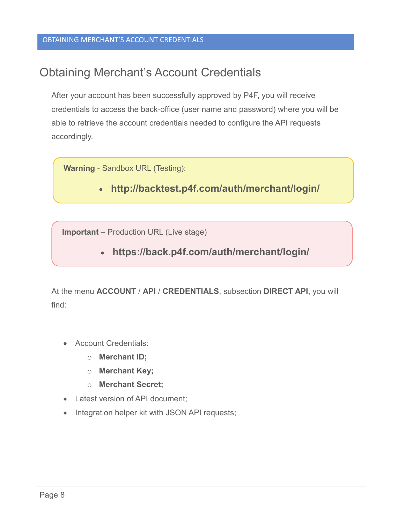## <span id="page-10-0"></span>Obtaining Merchant's Account Credentials

After your account has been successfully approved by P4F, you will receive credentials to access the back-office (user name and password) where you will be able to retrieve the account credentials needed to configure the API requests accordingly.

**Warning** - Sandbox URL (Testing):

**http://backtest.p4f.com/auth/merchant/login/**

**Important** – Production URL (Live stage)

**https://back.p4f.com/auth/merchant/login/**

At the menu **ACCOUNT** / **API** / **CREDENTIALS**, subsection **DIRECT API**, you will find:

- Account Credentials:
	- o **Merchant ID;**
	- o **Merchant Key;**
	- o **Merchant Secret;**
- Latest version of API document;
- Integration helper kit with JSON API requests;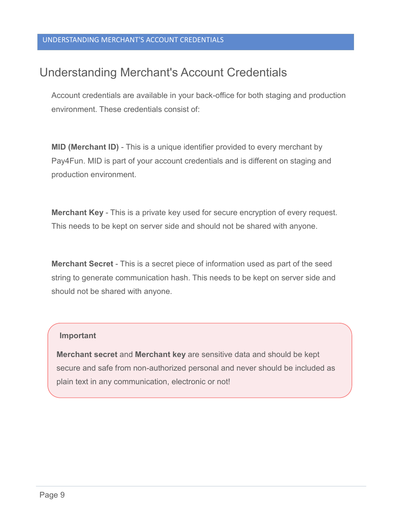## <span id="page-11-0"></span>Understanding Merchant's Account Credentials

Account credentials are available in your back-office for both staging and production environment. These credentials consist of:

**MID (Merchant ID)** - This is a unique identifier provided to every merchant by Pay4Fun. MID is part of your account credentials and is different on staging and production environment.

**Merchant Key** - This is a private key used for secure encryption of every request. This needs to be kept on server side and should not be shared with anyone.

**Merchant Secret** - This is a secret piece of information used as part of the seed string to generate communication hash. This needs to be kept on server side and should not be shared with anyone.

#### **Important**

**Merchant secret** and **Merchant key** are sensitive data and should be kept secure and safe from non-authorized personal and never should be included as plain text in any communication, electronic or not!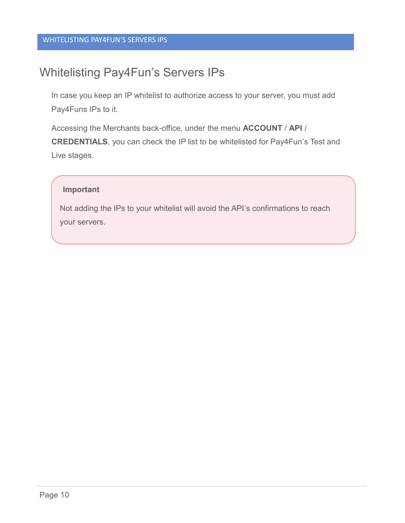## <span id="page-12-0"></span>Whitelisting Pay4Fun's Servers IPs

In case you keep an IP whitelist to authorize access to your server, you must add Pay4Funs IPs to it.

Accessing the Merchants back-office, under the menu **ACCOUNT** / **API** / **CREDENTIALS**, you can check the IP list to be whitelisted for Pay4Fun's Test and Live stages.

#### **Important**

Not adding the IPs to your whitelist will avoid the API's confirmations to reach your servers.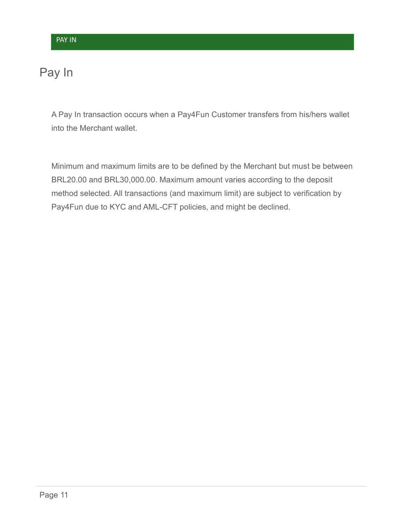## <span id="page-13-0"></span>Pay In

A Pay In transaction occurs when a Pay4Fun Customer transfers from his/hers wallet into the Merchant wallet.

Minimum and maximum limits are to be defined by the Merchant but must be between BRL20.00 and BRL30,000.00. Maximum amount varies according to the deposit method selected. All transactions (and maximum limit) are subject to verification by Pay4Fun due to KYC and AML-CFT policies, and might be declined.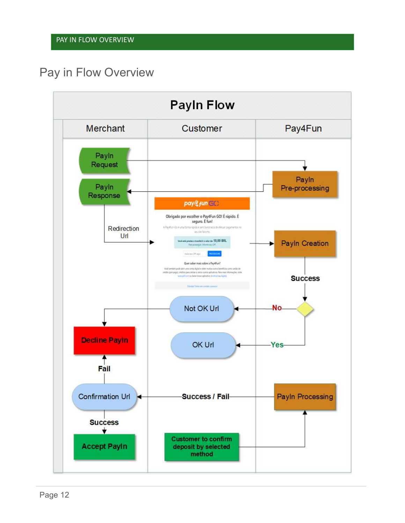## <span id="page-14-0"></span>Pay in Flow Overview

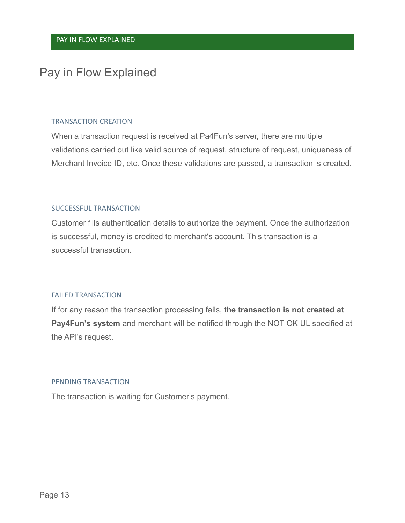## <span id="page-15-0"></span>Pay in Flow Explained

#### TRANSACTION CREATION

When a transaction request is received at Pa4Fun's server, there are multiple validations carried out like valid source of request, structure of request, uniqueness of Merchant Invoice ID, etc. Once these validations are passed, a transaction is created.

#### SUCCESSFUL TRANSACTION

Customer fills authentication details to authorize the payment. Once the authorization is successful, money is credited to merchant's account. This transaction is a successful transaction.

#### FAILED TRANSACTION

If for any reason the transaction processing fails, t**he transaction is not created at Pay4Fun's system** and merchant will be notified through the NOT OK UL specified at the API's request.

#### PENDING TRANSACTION

The transaction is waiting for Customer's payment.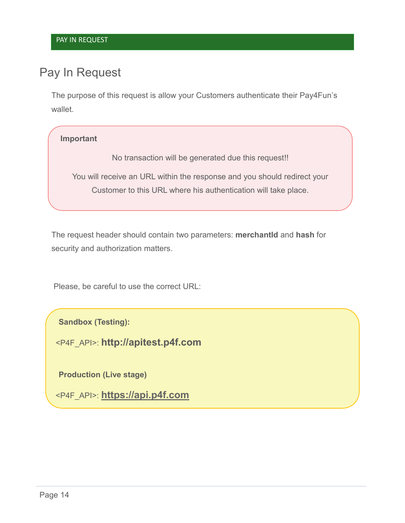## <span id="page-16-0"></span>Pay In Request

The purpose of this request is allow your Customers authenticate their Pay4Fun's wallet.

#### **Important**

No transaction will be generated due this request!!

You will receive an URL within the response and you should redirect your Customer to this URL where his authentication will take place.

The request header should contain two parameters: **merchantId** and **hash** for security and authorization matters.

Please, be careful to use the correct URL:

**Sandbox (Testing):**

<P4F\_API>: **http://apitest.p4f.com**

**Production (Live stage)**

<P4F\_API>: **[https://api.p4f.com](https://api.p4f.com/)**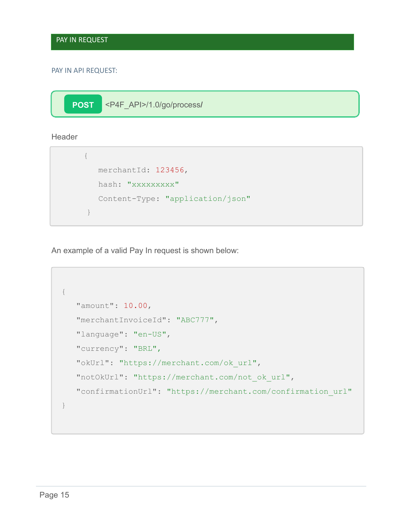#### PAY IN API REQUEST:

**POST** <P4F\_API>/1.0/go/process**/**

**Header** 

```
{
  merchantId: 123456, 
  hash: "xxxxxxxxx"
  Content-Type: "application/json"
}
```
An example of a valid Pay In request is shown below:

```
{
   "amount": 10.00,
   "merchantInvoiceId": "ABC777",
   "language": "en-US",
   "currency": "BRL",
  "okUrl": "https://merchant.com/ok_url",
   "notOkUrl": "https://merchant.com/not_ok_url",
   "confirmationUrl": "https://merchant.com/confirmation_url"
}
```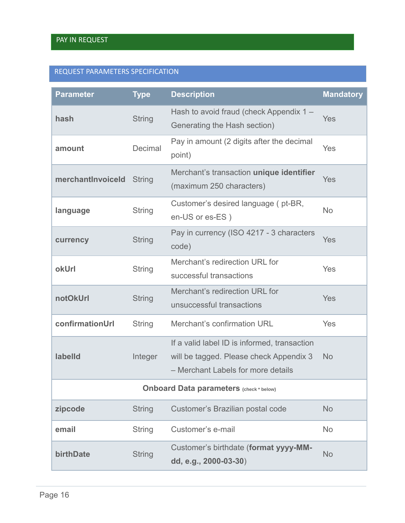#### REQUEST PARAMETERS SPECIFICATION

| <b>Parameter</b>                               | <b>Type</b>   | <b>Description</b>                                                                                                            | <b>Mandatory</b> |
|------------------------------------------------|---------------|-------------------------------------------------------------------------------------------------------------------------------|------------------|
| hash                                           | <b>String</b> | Hash to avoid fraud (check Appendix 1 -<br>Generating the Hash section)                                                       | Yes              |
| amount                                         | Decimal       | Pay in amount (2 digits after the decimal<br>point)                                                                           | Yes              |
| merchantInvoiceId                              | <b>String</b> | Merchant's transaction unique identifier<br>(maximum 250 characters)                                                          | Yes              |
| language                                       | <b>String</b> | Customer's desired language (pt-BR,<br>en-US or es-ES)                                                                        | <b>No</b>        |
| currency                                       | <b>String</b> | Pay in currency (ISO 4217 - 3 characters<br>code)                                                                             | Yes              |
| okUrl                                          | <b>String</b> | Merchant's redirection URL for<br>successful transactions                                                                     | Yes              |
| notOkUrl                                       | <b>String</b> | Merchant's redirection URL for<br>unsuccessful transactions                                                                   | Yes              |
| confirmationUrl                                | <b>String</b> | Merchant's confirmation URL                                                                                                   | Yes              |
| labelld                                        | Integer       | If a valid label ID is informed, transaction<br>will be tagged. Please check Appendix 3<br>- Merchant Labels for more details | <b>No</b>        |
| <b>Onboard Data parameters (check * below)</b> |               |                                                                                                                               |                  |
| zipcode                                        | <b>String</b> | Customer's Brazilian postal code                                                                                              | <b>No</b>        |
| email                                          | <b>String</b> | Customer's e-mail                                                                                                             | <b>No</b>        |
| birthDate                                      | <b>String</b> | Customer's birthdate (format yyyy-MM-<br>dd, e.g., 2000-03-30)                                                                | <b>No</b>        |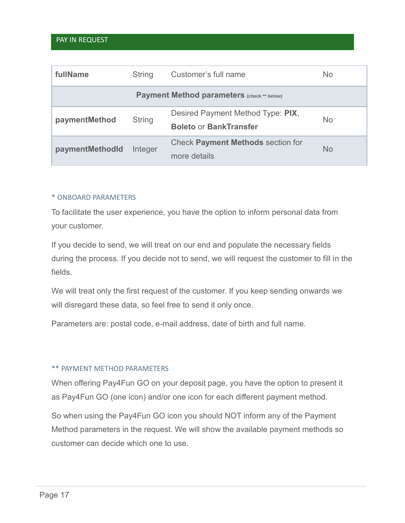#### PAY IN REQUEST

| fullName        | <b>String</b> | Customer's full name                                               | No.       |
|-----------------|---------------|--------------------------------------------------------------------|-----------|
|                 |               | <b>Payment Method parameters (check ** below)</b>                  |           |
| paymentMethod   | <b>String</b> | Desired Payment Method Type: PIX,<br><b>Boleto or BankTransfer</b> | <b>No</b> |
| paymentMethodId | Integer       | <b>Check Payment Methods section for</b><br>more details           | No.       |

#### \* ONBOARD PARAMETERS

To facilitate the user experience, you have the option to inform personal data from your customer.

If you decide to send, we will treat on our end and populate the necessary fields during the process. If you decide not to send, we will request the customer to fill in the fields.

We will treat only the first request of the customer. If you keep sending onwards we will disregard these data, so feel free to send it only once.

Parameters are: postal code, e-mail address, date of birth and full name.

#### \*\* PAYMENT METHOD PARAMETERS

When offering Pay4Fun GO on your deposit page, you have the option to present it as Pay4Fun GO (one icon) and/or one icon for each different payment method.

So when using the Pay4Fun GO icon you should NOT inform any of the Payment Method parameters in the request. We will show the available payment methods so customer can decide which one to use.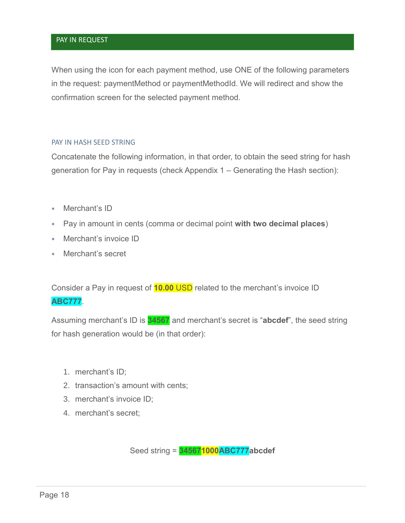#### PAY IN REQUEST

When using the icon for each payment method, use ONE of the following parameters in the request: paymentMethod or paymentMethodId. We will redirect and show the confirmation screen for the selected payment method.

#### PAY IN HASH SEED STRING

Concatenate the following information, in that order, to obtain the seed string for hash generation for Pay in requests (check Appendix 1 – [Generating the Hash](#page-38-0) section):

- Merchant's ID
- Pay in amount in cents (comma or decimal point **with two decimal places**)
- Merchant's invoice ID
- Merchant's secret

Consider a Pay in request of **10.00** USD related to the merchant's invoice ID **ABC777**.

Assuming merchant's ID is **34567** and merchant's secret is "**abcdef**", the seed string for hash generation would be (in that order):

- 1. merchant's ID;
- 2. transaction's amount with cents;
- 3. merchant's invoice ID;
- 4. merchant's secret;

Seed string = **345671000ABC777abcdef**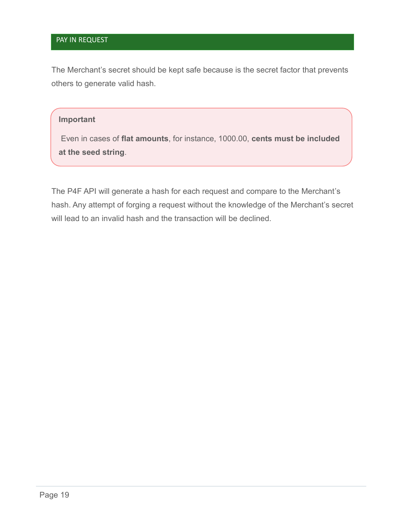#### PAY IN REQUEST

The Merchant's secret should be kept safe because is the secret factor that prevents others to generate valid hash.

#### **Important**

Even in cases of **flat amounts**, for instance, 1000.00, **cents must be included at the seed string**.

The P4F API will generate a hash for each request and compare to the Merchant's hash. Any attempt of forging a request without the knowledge of the Merchant's secret will lead to an invalid hash and the transaction will be declined.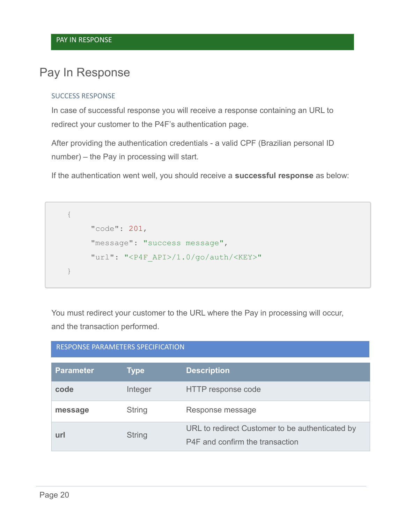## <span id="page-22-0"></span>Pay In Response

#### SUCCESS RESPONSE

In case of successful response you will receive a response containing an URL to redirect your customer to the P4F's authentication page.

After providing the authentication credentials - a valid CPF (Brazilian personal ID number) – the Pay in processing will start.

If the authentication went well, you should receive a **successful response** as below:

```
{
     "code": 201,
     "message": "success message",
     "url": "<P4F_API>/1.0/go/auth/<KEY>"
}
```
You must redirect your customer to the URL where the Pay in processing will occur, and the transaction performed.

| RESPONSE PARAMETERS SPECIFICATION |               |                                                                                    |
|-----------------------------------|---------------|------------------------------------------------------------------------------------|
| <b>Parameter</b>                  | <b>Type</b>   | <b>Description</b>                                                                 |
| code                              | Integer       | HTTP response code                                                                 |
| message                           | <b>String</b> | Response message                                                                   |
| url                               | <b>String</b> | URL to redirect Customer to be authenticated by<br>P4F and confirm the transaction |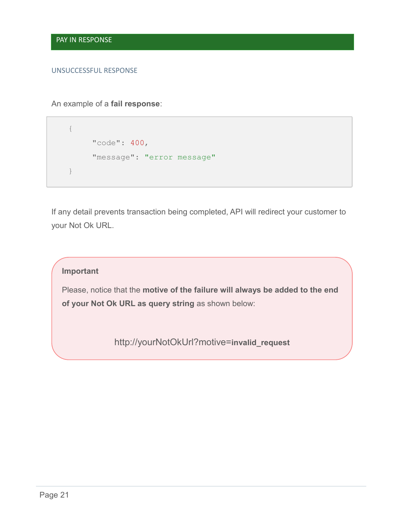#### UNSUCCESSFUL RESPONSE

An example of a **fail response**:

```
{
     "code": 400,
     "message": "error message"
}
```
If any detail prevents transaction being completed, API will redirect your customer to your Not Ok URL.

#### **Important**

Please, notice that the **motive of the failure will always be added to the end of your Not Ok URL as query string** as shown below:

http://yourNotOkUrl?motive=**invalid\_request**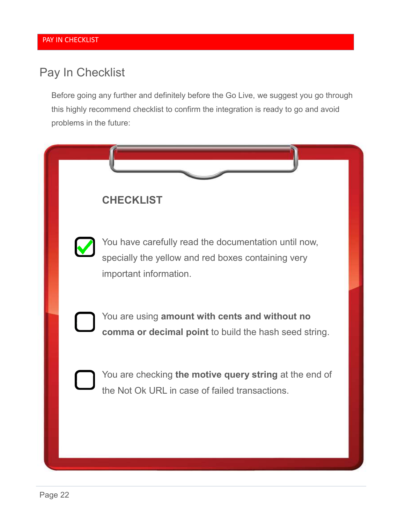## <span id="page-24-0"></span>Pay In Checklist

Before going any further and definitely before the Go Live, we suggest you go through this highly recommend checklist to confirm the integration is ready to go and avoid problems in the future:

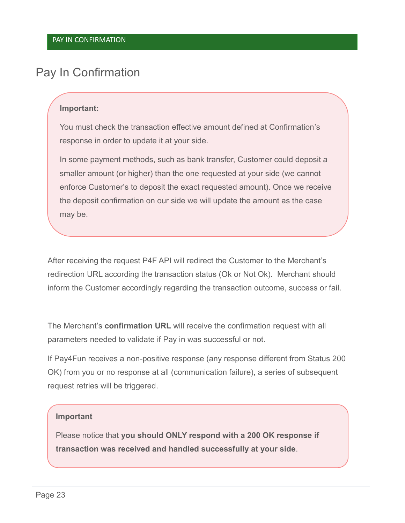## <span id="page-25-0"></span>Pay In Confirmation

#### **Important:**

You must check the transaction effective amount defined at Confirmation's response in order to update it at your side.

In some payment methods, such as bank transfer, Customer could deposit a smaller amount (or higher) than the one requested at your side (we cannot enforce Customer's to deposit the exact requested amount). Once we receive the deposit confirmation on our side we will update the amount as the case may be.

After receiving the request P4F API will redirect the Customer to the Merchant's redirection URL according the transaction status (Ok or Not Ok). Merchant should inform the Customer accordingly regarding the transaction outcome, success or fail.

The Merchant's **confirmation URL** will receive the confirmation request with all parameters needed to validate if Pay in was successful or not.

If Pay4Fun receives a non-positive response (any response different from Status 200 OK) from you or no response at all (communication failure), a series of subsequent request retries will be triggered.

#### **Important**

Please notice that **you should ONLY respond with a 200 OK response if transaction was received and handled successfully at your side**.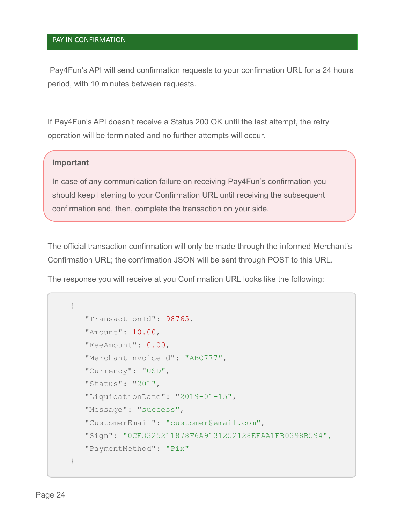#### PAY IN CONFIRMATION

Pay4Fun's API will send confirmation requests to your confirmation URL for a 24 hours period, with 10 minutes between requests.

If Pay4Fun's API doesn't receive a Status 200 OK until the last attempt, the retry operation will be terminated and no further attempts will occur.

#### **Important**

In case of any communication failure on receiving Pay4Fun's confirmation you should keep listening to your Confirmation URL until receiving the subsequent confirmation and, then, complete the transaction on your side.

The official transaction confirmation will only be made through the informed Merchant's Confirmation URL; the confirmation JSON will be sent through POST to this URL.

The response you will receive at you Confirmation URL looks like the following:

```
{
   "TransactionId": 98765,
   "Amount": 10.00, 
   "FeeAmount": 0.00,
   "MerchantInvoiceId": "ABC777",
   "Currency": "USD",
   "Status": "201",
   "LiquidationDate": "2019-01-15",
   "Message": "success",
   "CustomerEmail": "customer@email.com",
   "Sign": "0CE3325211878F6A9131252128EEAA1EB0398B594",
   "PaymentMethod": "Pix"
}
```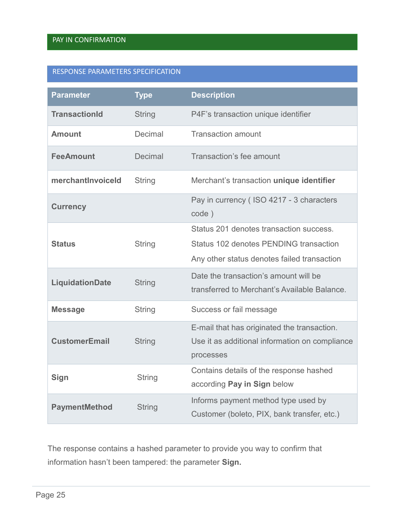#### RESPONSE PARAMETERS SPECIFICATION

| <b>Parameter</b>     | <b>Type</b>   | <b>Description</b>                                                                                                               |
|----------------------|---------------|----------------------------------------------------------------------------------------------------------------------------------|
| <b>TransactionId</b> | <b>String</b> | P4F's transaction unique identifier                                                                                              |
| <b>Amount</b>        | Decimal       | <b>Transaction amount</b>                                                                                                        |
| <b>FeeAmount</b>     | Decimal       | Transaction's fee amount                                                                                                         |
| merchantlnvoiceld    | <b>String</b> | Merchant's transaction unique identifier                                                                                         |
| <b>Currency</b>      |               | Pay in currency (ISO 4217 - 3 characters<br>code)                                                                                |
| <b>Status</b>        | <b>String</b> | Status 201 denotes transaction success.<br>Status 102 denotes PENDING transaction<br>Any other status denotes failed transaction |
| LiquidationDate      | <b>String</b> | Date the transaction's amount will be<br>transferred to Merchant's Available Balance.                                            |
| <b>Message</b>       | <b>String</b> | Success or fail message                                                                                                          |
| <b>CustomerEmail</b> | <b>String</b> | E-mail that has originated the transaction.<br>Use it as additional information on compliance<br>processes                       |
| Sign                 | <b>String</b> | Contains details of the response hashed<br>according Pay in Sign below                                                           |
| <b>PaymentMethod</b> | <b>String</b> | Informs payment method type used by<br>Customer (boleto, PIX, bank transfer, etc.)                                               |

The response contains a hashed parameter to provide you way to confirm that information hasn't been tampered: the parameter **Sign.**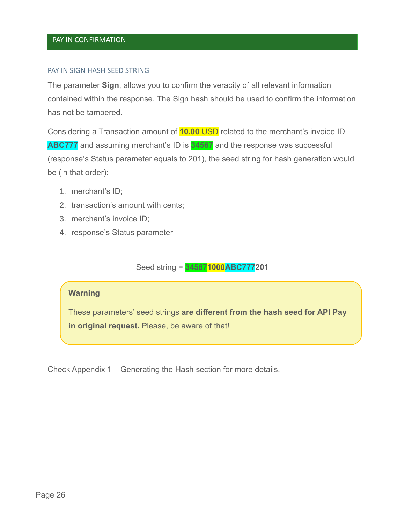#### <span id="page-28-0"></span>PAY IN SIGN HASH SEED STRING

The parameter **Sign**, allows you to confirm the veracity of all relevant information contained within the response. The Sign hash should be used to confirm the information has not be tampered.

Considering a Transaction amount of **10.00** USD related to the merchant's invoice ID **ABC777** and assuming merchant's ID is **34567** and the response was successful (response's Status parameter equals to 201), the seed string for hash generation would be (in that order):

- 1. merchant's ID;
- 2. transaction's amount with cents;
- 3. merchant's invoice ID;
- 4. response's Status parameter

Seed string = **345671000ABC777201**

#### **Warning**

These parameters' seed strings **are different from the hash seed for API Pay in original request.** Please, be aware of that!

Check Appendix 1 – [Generating the Hash](#page-38-0) section for more details.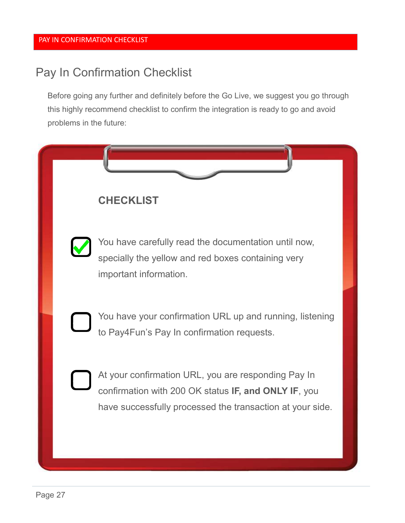## <span id="page-29-0"></span>Pay In Confirmation Checklist

Before going any further and definitely before the Go Live, we suggest you go through this highly recommend checklist to confirm the integration is ready to go and avoid problems in the future:

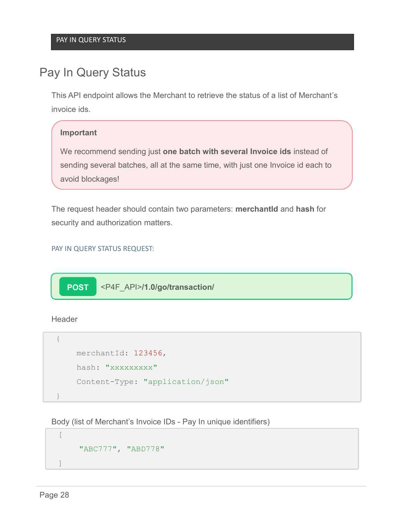## <span id="page-30-0"></span>Pay In Query Status

This API endpoint allows the Merchant to retrieve the status of a list of Merchant's invoice ids.

#### **Important**

We recommend sending just **one batch with several Invoice ids** instead of sending several batches, all at the same time, with just one Invoice id each to avoid blockages!

The request header should contain two parameters: **merchantId** and **hash** for security and authorization matters.

#### PAY IN QUERY STATUS REQUEST:

**POST** <P4F\_API>**/1.0/go/transaction/**

Header

```
{
    merchantId: 123456, 
    hash: "xxxxxxxxx"
    Content-Type: "application/json"
}
```
Body (list of Merchant's Invoice IDs - Pay In unique identifiers)

```
\sqrt{2}"ABC777", "ABD778"
]
```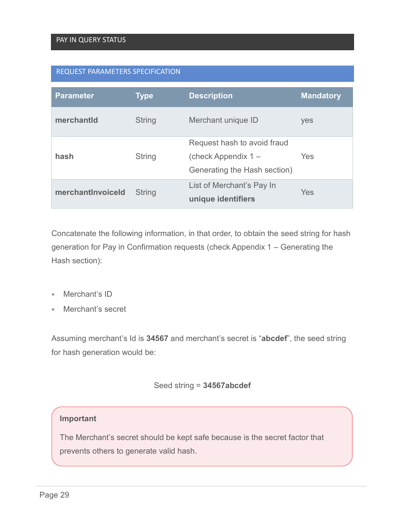#### REQUEST PARAMETERS SPECIFICATION

| <b>Parameter</b>  | <b>Type</b>   | <b>Description</b>                                                                   | <b>Mandatory</b> |
|-------------------|---------------|--------------------------------------------------------------------------------------|------------------|
| merchantId        | <b>String</b> | Merchant unique ID                                                                   | yes              |
| hash              | <b>String</b> | Request hash to avoid fraud<br>(check Appendix $1 -$<br>Generating the Hash section) | Yes              |
| merchantlnvoiceld | <b>String</b> | List of Merchant's Pay In<br>unique identifiers                                      | Yes              |

Concatenate the following information, in that order, to obtain the seed string for hash generation for Pay in Confirmation requests (check Appendix 1 – [Generating the](#page-38-0)  [Hash](#page-38-0) section):

- Merchant's ID
- Merchant's secret

Assuming merchant's Id is **34567** and merchant's secret is "**abcdef**", the seed string for hash generation would be:

#### Seed string = **34567abcdef**

#### **Important**

The Merchant's secret should be kept safe because is the secret factor that prevents others to generate valid hash.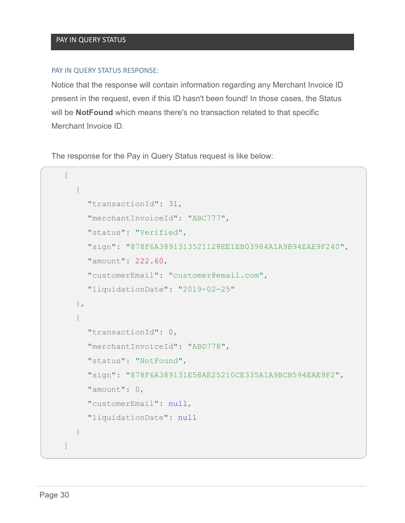#### PAY IN QUERY STATUS RESPONSE:

Notice that the response will contain information regarding any Merchant Invoice ID present in the request, even if this ID hasn't been found! In those cases, the Status will be **NotFound** which means there's no transaction related to that specific Merchant Invoice ID.

The response for the Pay in Query Status request is like below:

```
\sqrt{2}{
     "transactionId": 31,
     "merchantInvoiceId": "ABC777",
     "status": "Verified",
     "sign": "878F6A3891313521128EE1EB03984A1A9B94EAE9F240",
     "amount": 222.60,
     "customerEmail": "customer@email.com",
     "liquidationDate": "2019-02-25"
  },
  {
     "transactionId": 0,
     "merchantInvoiceId": "ABD778",
     "status": "NotFound",
     "sign": "878F6A389131E58AE25210CE335A1A9BCB594EAE9F2",
     "amount": 0,
     "customerEmail": null,
     "liquidationDate": null
  }
]
```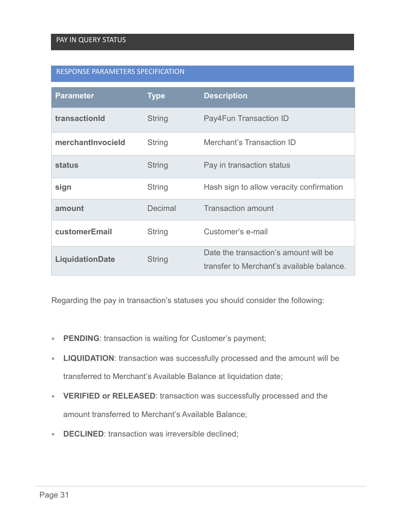#### RESPONSE PARAMETERS SPECIFICATION

| <b>Parameter</b>  | <b>Type</b>   | <b>Description</b>                                                                 |
|-------------------|---------------|------------------------------------------------------------------------------------|
| transactionId     | <b>String</b> | Pay4Fun Transaction ID                                                             |
| merchantInvocield | <b>String</b> | <b>Merchant's Transaction ID</b>                                                   |
| <b>status</b>     | <b>String</b> | Pay in transaction status                                                          |
| sign              | String        | Hash sign to allow veracity confirmation                                           |
| amount            | Decimal       | <b>Transaction amount</b>                                                          |
| customerEmail     | <b>String</b> | Customer's e-mail                                                                  |
| LiquidationDate   | <b>String</b> | Date the transaction's amount will be<br>transfer to Merchant's available balance. |

Regarding the pay in transaction's statuses you should consider the following:

- **PENDING**: transaction is waiting for Customer's payment;
- **LIQUIDATION**: transaction was successfully processed and the amount will be transferred to Merchant's Available Balance at liquidation date;
- **VERIFIED or RELEASED**: transaction was successfully processed and the amount transferred to Merchant's Available Balance;
- **DECLINED**: transaction was irreversible declined;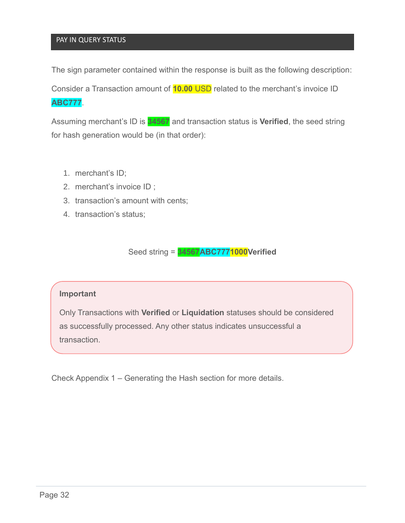#### PAY IN QUERY STATUS

The sign parameter contained within the response is built as the following description:

Consider a Transaction amount of **10.00** USD related to the merchant's invoice ID **ABC777**.

Assuming merchant's ID is **34567** and transaction status is **Verified**, the seed string for hash generation would be (in that order):

- 1. merchant's ID;
- 2. merchant's invoice ID ;
- 3. transaction's amount with cents;
- 4. transaction's status;

Seed string = **34567ABC7771000Verified**

#### **Important**

Only Transactions with **Verified** or **Liquidation** statuses should be considered as successfully processed. Any other status indicates unsuccessful a transaction.

Check Appendix 1 – [Generating the Hash](#page-38-0) section for more details.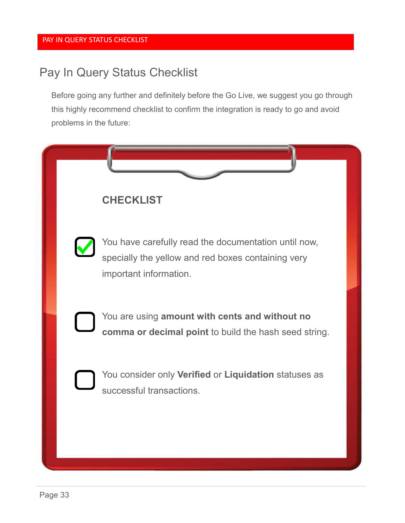## <span id="page-35-0"></span>Pay In Query Status Checklist

Before going any further and definitely before the Go Live, we suggest you go through this highly recommend checklist to confirm the integration is ready to go and avoid problems in the future:

| <b>CHECKLIST</b>                                                                                                                     |  |
|--------------------------------------------------------------------------------------------------------------------------------------|--|
| You have carefully read the documentation until now,<br>specially the yellow and red boxes containing very<br>important information. |  |
| You are using amount with cents and without no<br>comma or decimal point to build the hash seed string.                              |  |
| You consider only Verified or Liquidation statuses as<br>successful transactions.                                                    |  |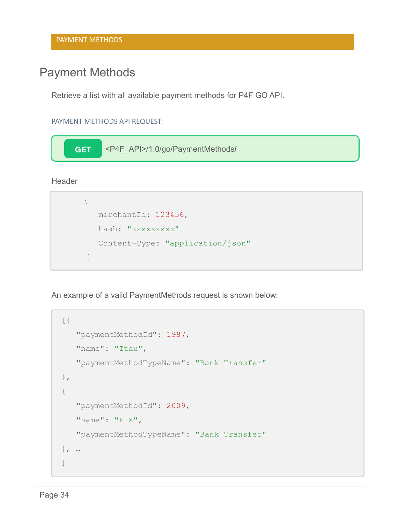## <span id="page-36-0"></span>Payment Methods

Retrieve a list with all available payment methods for P4F GO API.

PAYMENT METHODS API REQUEST:



**Header** 

```
{
  merchantId: 123456, 
  hash: "xxxxxxxxx"
  Content-Type: "application/json"
}
```
An example of a valid PaymentMethods request is shown below:

```
\lceil"paymentMethodId": 1987,
   "name": "Itau",
   "paymentMethodTypeName": "Bank Transfer"
},
{
   "paymentMethodId": 2009,
   "name": "PIX",
   "paymentMethodTypeName": "Bank Transfer"
}, …
]
```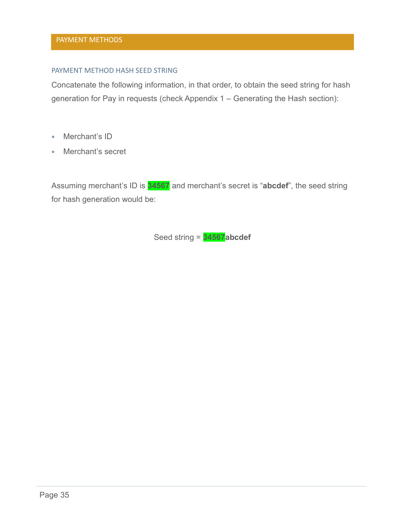#### PAYMENT METHOD HASH SEED STRING

Concatenate the following information, in that order, to obtain the seed string for hash generation for Pay in requests (check Appendix 1 – [Generating the Hash](#page-38-0) section):

- Merchant's ID
- Merchant's secret

Assuming merchant's ID is **34567** and merchant's secret is "**abcdef**", the seed string for hash generation would be:

Seed string = **34567abcdef**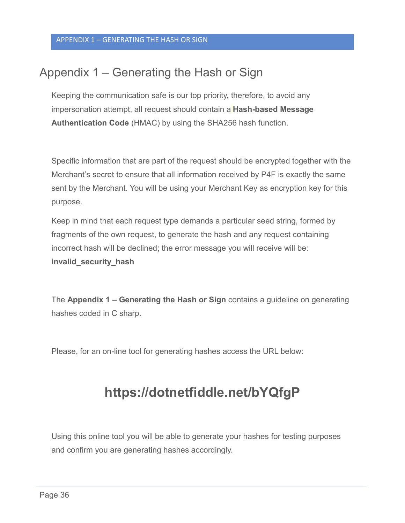## <span id="page-38-0"></span>Appendix 1 – Generating the Hash or Sign

Keeping the communication safe is our top priority, therefore, to avoid any impersonation attempt, all request should contain a **Hash-based Message Authentication Code** (HMAC) by using the SHA256 hash function.

Specific information that are part of the request should be encrypted together with the Merchant's secret to ensure that all information received by P4F is exactly the same sent by the Merchant. You will be using your Merchant Key as encryption key for this purpose.

Keep in mind that each request type demands a particular seed string, formed by fragments of the own request, to generate the hash and any request containing incorrect hash will be declined; the error message you will receive will be: **invalid\_security\_hash**

The **Appendix 1 – [Generating the Hash](#page-38-0) or Sign** contains a guideline on generating hashes coded in C sharp.

Please, for an on-line tool for generating hashes access the URL below:

## **<https://dotnetfiddle.net/bYQfgP>**

Using this online tool you will be able to generate your hashes for testing purposes and confirm you are generating hashes accordingly.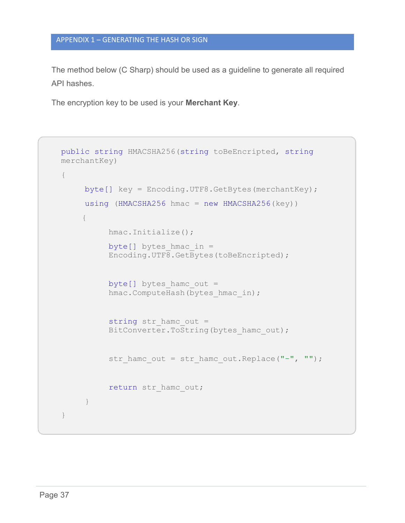#### APPENDIX 1 – GENERATING THE HASH OR SIGN

The method below (C Sharp) should be used as a guideline to generate all required API hashes.

The encryption key to be used is your **Merchant Key**.

```
public string HMACSHA256(string toBeEncripted, string
merchantKey)
{
     byte[] key = Encoding.UTF8.GetBytes(merchantKey);using (HMACSHA256 hmac = new HMACSHA256(key))
     {
          hmac.Initialize();
          byte[] bytes hmac in =
          Encoding.UTF8.GetBytes(toBeEncripted);
          byte[] bytes hamc out =
          hmac.ComputeHash(bytes hmac in);
          string str hamc out =BitConverter.ToString(bytes hamc out);
          str hamc out = str hamc out. Replace ("-", "");
          return str hamc out;
     }
}
```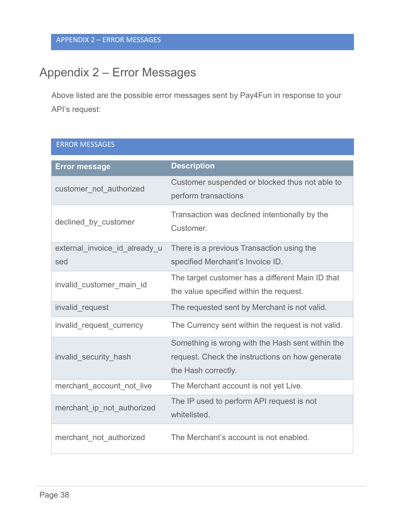## <span id="page-40-0"></span>Appendix 2 – Error Messages

Above listed are the possible error messages sent by Pay4Fun in response to your API's request:

| <b>ERROR MESSAGES</b>                |                                                                                                                            |
|--------------------------------------|----------------------------------------------------------------------------------------------------------------------------|
| <b>Error message</b>                 | <b>Description</b>                                                                                                         |
| customer_not_authorized              | Customer suspended or blocked thus not able to<br>perform transactions                                                     |
| declined_by_customer                 | Transaction was declined intentionally by the<br>Customer.                                                                 |
| external invoice id already u<br>sed | There is a previous Transaction using the<br>specified Merchant's Invoice ID.                                              |
| invalid_customer_main_id             | The target customer has a different Main ID that<br>the value specified within the request.                                |
| invalid request                      | The requested sent by Merchant is not valid.                                                                               |
| invalid request currency             | The Currency sent within the request is not valid.                                                                         |
| invalid_security_hash                | Something is wrong with the Hash sent within the<br>request. Check the instructions on how generate<br>the Hash correctly. |
| merchant account not live            | The Merchant account is not yet Live.                                                                                      |
| merchant_ip_not_authorized           | The IP used to perform API request is not<br>whitelisted.                                                                  |
| merchant not authorized              | The Merchant's account is not enabled.                                                                                     |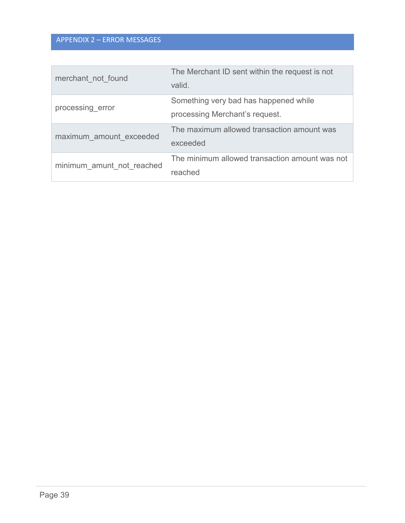#### APPENDIX 2 – ERROR MESSAGES

| merchant not found        | The Merchant ID sent within the request is not<br>valid.                |
|---------------------------|-------------------------------------------------------------------------|
| processing error          | Something very bad has happened while<br>processing Merchant's request. |
| maximum amount exceeded   | The maximum allowed transaction amount was<br>exceeded                  |
| minimum amunt not reached | The minimum allowed transaction amount was not<br>reached               |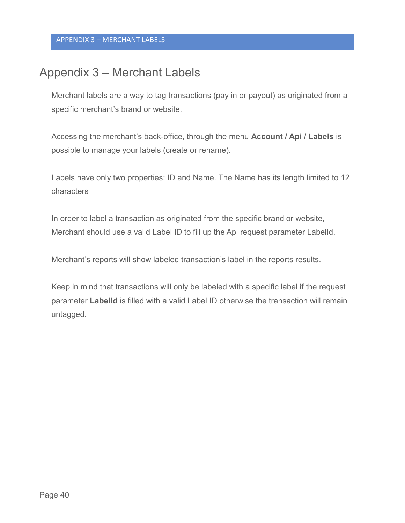## <span id="page-42-0"></span>Appendix 3 – Merchant Labels

Merchant labels are a way to tag transactions (pay in or payout) as originated from a specific merchant's brand or website.

Accessing the merchant's back-office, through the menu **Account / Api / Labels** is possible to manage your labels (create or rename).

Labels have only two properties: ID and Name. The Name has its length limited to 12 characters

In order to label a transaction as originated from the specific brand or website, Merchant should use a valid Label ID to fill up the Api request parameter LabelId.

Merchant's reports will show labeled transaction's label in the reports results.

Keep in mind that transactions will only be labeled with a specific label if the request parameter **LabelId** is filled with a valid Label ID otherwise the transaction will remain untagged.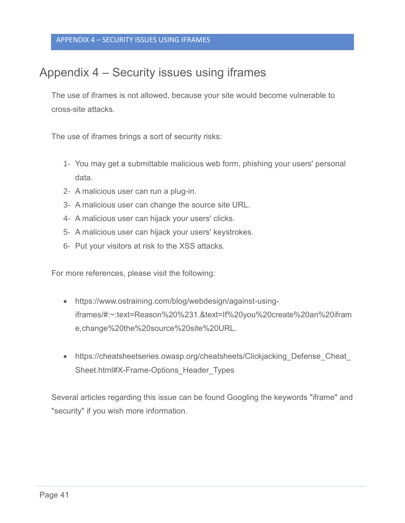## <span id="page-43-0"></span>Appendix 4 – Security issues using iframes

The use of iframes is not allowed, because your site would become vulnerable to cross-site attacks.

The use of iframes brings a sort of security risks:

- 1- You may get a submittable malicious web form, phishing your users' personal data.
- 2- A malicious user can run a plug-in.
- 3- A malicious user can change the source site URL.
- 4- A malicious user can hijack your users' clicks.
- 5- A malicious user can hijack your users' keystrokes.
- 6- Put your visitors at risk to the XSS attacks.

For more references, please visit the following:

- https://www.ostraining.com/blog/webdesign/against-usingiframes/#:~:text=Reason%20%231.&text=If%20you%20create%20an%20ifram e,change%20the%20source%20site%20URL.
- https://cheatsheetseries.owasp.org/cheatsheets/Clickjacking Defense Cheat Sheet.html#X-Frame-Options\_Header\_Types

Several articles regarding this issue can be found Googling the keywords "iframe" and "security" if you wish more information.